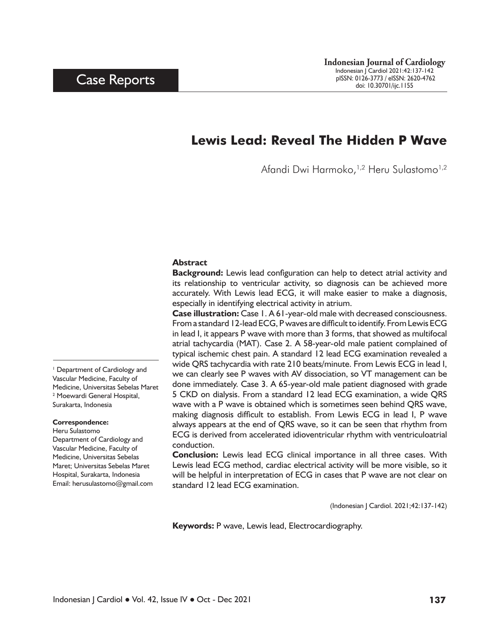## **Lewis Lead: Reveal The Hidden P Wave**

Afandi Dwi Harmoko,<sup>1,2</sup> Heru Sulastomo<sup>1,2</sup>

#### **Abstract**

**Background:** Lewis lead configuration can help to detect atrial activity and its relationship to ventricular activity, so diagnosis can be achieved more accurately. With Lewis lead ECG, it will make easier to make a diagnosis, especially in identifying electrical activity in atrium.

**Case illustration:** Case 1. A 61-year-old male with decreased consciousness. From a standard 12-lead ECG, P waves are difficult to identify. From Lewis ECG in lead I, it appears P wave with more than 3 forms, that showed as multifocal atrial tachycardia (MAT). Case 2. A 58-year-old male patient complained of typical ischemic chest pain. A standard 12 lead ECG examination revealed a wide QRS tachycardia with rate 210 beats/minute. From Lewis ECG in lead I, we can clearly see P waves with AV dissociation, so VT management can be done immediately. Case 3. A 65-year-old male patient diagnosed with grade 5 CKD on dialysis. From a standard 12 lead ECG examination, a wide QRS wave with a P wave is obtained which is sometimes seen behind QRS wave, making diagnosis difficult to establish. From Lewis ECG in lead I, P wave always appears at the end of QRS wave, so it can be seen that rhythm from ECG is derived from accelerated idioventricular rhythm with ventriculoatrial conduction.

**Conclusion:** Lewis lead ECG clinical importance in all three cases. With Lewis lead ECG method, cardiac electrical activity will be more visible, so it will be helpful in interpretation of ECG in cases that P wave are not clear on standard 12 lead ECG examination.

(Indonesian J Cardiol. 2021;42:137-142)

**Keywords:** P wave, Lewis lead, Electrocardiography.

1 Department of Cardiology and Vascular Medicine, Faculty of Medicine, Universitas Sebelas Maret 2 Moewardi General Hospital, Surakarta, Indonesia

#### **Correspondence:**

Heru Sulastomo Department of Cardiology and Vascular Medicine, Faculty of Medicine, Universitas Sebelas Maret; Universitas Sebelas Maret Hospital, Surakarta, Indonesia Email: herusulastomo@gmail.com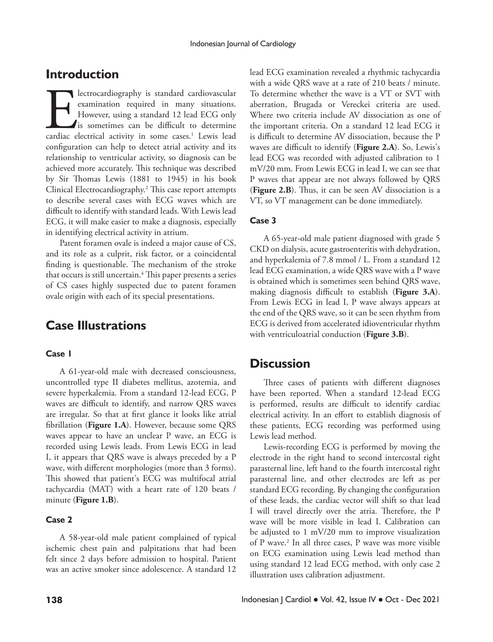### **Introduction**

lectrocardiography is standard cardiovascular<br>examination required in many situations.<br>However, using a standard 12 lead ECG only<br>is sometimes can be difficult to determine<br>cardiac electrical activity in some cases.<sup>1</sup> Lew examination required in many situations. However, using a standard 12 lead ECG only is sometimes can be difficult to determine cardiac electrical activity in some cases.<sup>1</sup> Lewis lead configuration can help to detect atrial activity and its relationship to ventricular activity, so diagnosis can be achieved more accurately. This technique was described by Sir Thomas Lewis (1881 to 1945) in his book Clinical Electrocardiography.2 This case report attempts to describe several cases with ECG waves which are difficult to identify with standard leads. With Lewis lead ECG, it will make easier to make a diagnosis, especially in identifying electrical activity in atrium.

Patent foramen ovale is indeed a major cause of CS, and its role as a culprit, risk factor, or a coincidental finding is questionable. The mechanism of the stroke that occurs is still uncertain.<sup>4</sup> This paper presents a series of CS cases highly suspected due to patent foramen ovale origin with each of its special presentations.

## **Case Illustrations**

#### **Case 1**

A 61-year-old male with decreased consciousness, uncontrolled type II diabetes mellitus, azotemia, and severe hyperkalemia. From a standard 12-lead ECG, P waves are difficult to identify, and narrow QRS waves are irregular. So that at first glance it looks like atrial fibrillation (**Figure 1.A**). However, because some QRS waves appear to have an unclear P wave, an ECG is recorded using Lewis leads. From Lewis ECG in lead I, it appears that QRS wave is always preceded by a P wave, with different morphologies (more than 3 forms). This showed that patient's ECG was multifocal atrial tachycardia (MAT) with a heart rate of 120 beats / minute (**Figure 1.B**).

#### **Case 2**

A 58-year-old male patient complained of typical ischemic chest pain and palpitations that had been felt since 2 days before admission to hospital. Patient was an active smoker since adolescence. A standard 12 lead ECG examination revealed a rhythmic tachycardia with a wide QRS wave at a rate of 210 beats / minute. To determine whether the wave is a VT or SVT with aberration, Brugada or Vereckei criteria are used. Where two criteria include AV dissociation as one of the important criteria. On a standard 12 lead ECG it is difficult to determine AV dissociation, because the P waves are difficult to identify (**Figure 2.A**). So, Lewis's lead ECG was recorded with adjusted calibration to 1 mV/20 mm. From Lewis ECG in lead I, we can see that P waves that appear are not always followed by QRS (**Figure 2.B**). Thus, it can be seen AV dissociation is a VT, so VT management can be done immediately.

### **Case 3**

A 65-year-old male patient diagnosed with grade 5 CKD on dialysis, acute gastroenteritis with dehydration, and hyperkalemia of 7.8 mmol / L. From a standard 12 lead ECG examination, a wide QRS wave with a P wave is obtained which is sometimes seen behind QRS wave, making diagnosis difficult to establish (**Figure 3.A**). From Lewis ECG in lead I, P wave always appears at the end of the QRS wave, so it can be seen rhythm from ECG is derived from accelerated idioventricular rhythm with ventriculoatrial conduction (**Figure 3.B**).

### **Discussion**

Three cases of patients with different diagnoses have been reported. When a standard 12-lead ECG is performed, results are difficult to identify cardiac electrical activity. In an effort to establish diagnosis of these patients, ECG recording was performed using Lewis lead method.

Lewis-recording ECG is performed by moving the electrode in the right hand to second intercostal right parasternal line, left hand to the fourth intercostal right parasternal line, and other electrodes are left as per standard ECG recording. By changing the configuration of these leads, the cardiac vector will shift so that lead I will travel directly over the atria. Therefore, the P wave will be more visible in lead I. Calibration can be adjusted to 1 mV/20 mm to improve visualization of P wave.2 In all three cases, P wave was more visible on ECG examination using Lewis lead method than using standard 12 lead ECG method, with only case 2 illustration uses calibration adjustment.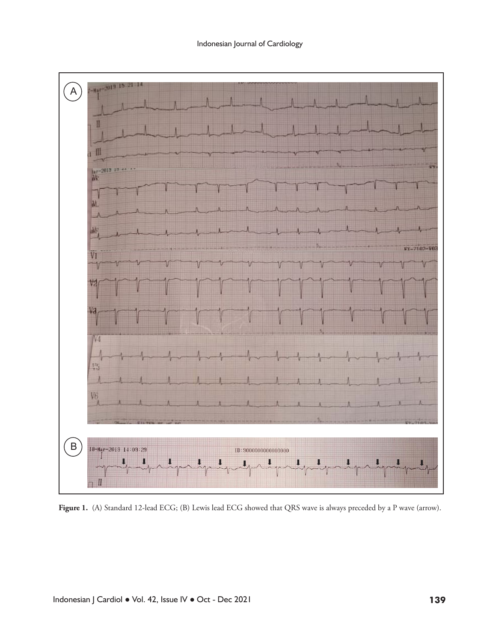

Figure 1. (A) Standard 12-lead ECG; (B) Lewis lead ECG showed that QRS wave is always preceded by a P wave (arrow).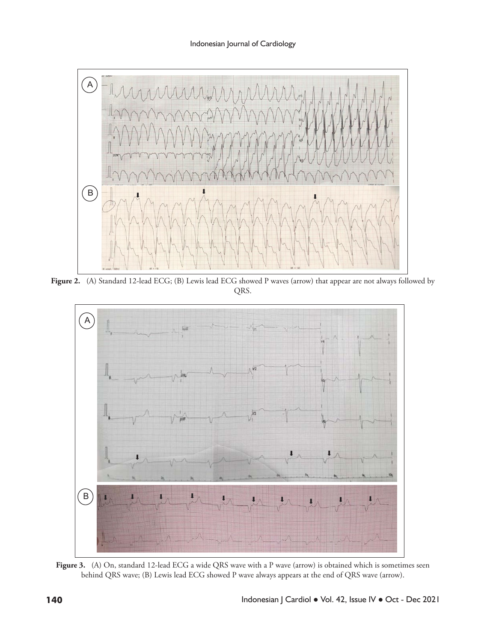

Figure 2. (A) Standard 12-lead ECG; (B) Lewis lead ECG showed P waves (arrow) that appear **Figure 2.** (A) Standard 12-lead ECG; (B) Lewis lead ECG showed P waves (arrow) that appear are not always followed by QRS.



Figure 3. (A) On, standard 12-lead ECG a wide QRS wave with a P wave (arrow) is obtained which is sometimes seen behind QRS wave; (B) Lewis lead ECG showed P wave always appears at the end of QRS wave (arrow). appears at the end of QRS wave (arrow).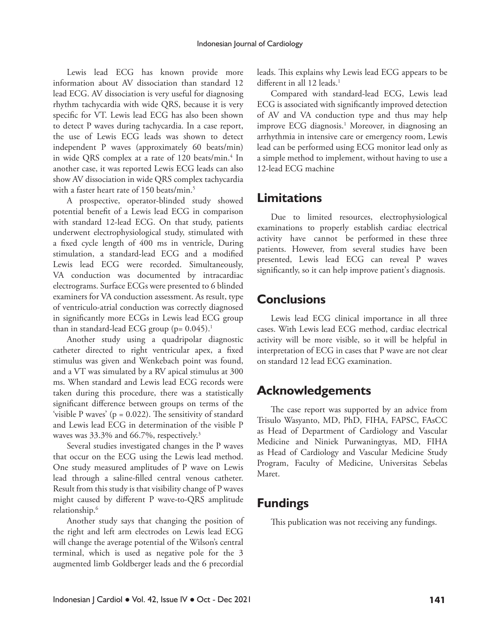Lewis lead ECG has known provide more information about AV dissociation than standard 12 lead ECG. AV dissociation is very useful for diagnosing rhythm tachycardia with wide QRS, because it is very specific for VT. Lewis lead ECG has also been shown to detect P waves during tachycardia. In a case report, the use of Lewis ECG leads was shown to detect independent P waves (approximately 60 beats/min) in wide QRS complex at a rate of 120 beats/min.<sup>4</sup> In another case, it was reported Lewis ECG leads can also show AV dissociation in wide QRS complex tachycardia with a faster heart rate of 150 beats/min.<sup>5</sup>

A prospective, operator-blinded study showed potential benefit of a Lewis lead ECG in comparison with standard 12-lead ECG. On that study, patients underwent electrophysiological study, stimulated with a fixed cycle length of 400 ms in ventricle, During stimulation, a standard-lead ECG and a modified Lewis lead ECG were recorded. Simultaneously, VA conduction was documented by intracardiac electrograms. Surface ECGs were presented to 6 blinded examiners for VA conduction assessment. As result, type of ventriculo-atrial conduction was correctly diagnosed in significantly more ECGs in Lewis lead ECG group than in standard-lead ECG group ( $p= 0.045$ ).<sup>1</sup>

Another study using a quadripolar diagnostic catheter directed to right ventricular apex, a fixed stimulus was given and Wenkebach point was found, and a VT was simulated by a RV apical stimulus at 300 ms. When standard and Lewis lead ECG records were taken during this procedure, there was a statistically significant difference between groups on terms of the 'visible P waves' ( $p = 0.022$ ). The sensitivity of standard and Lewis lead ECG in determination of the visible P waves was 33.3% and 66.7%, respectively.<sup>3</sup>

Several studies investigated changes in the P waves that occur on the ECG using the Lewis lead method. One study measured amplitudes of P wave on Lewis lead through a saline-filled central venous catheter. Result from this study is that visibility change of P waves might caused by different P wave-to-QRS amplitude relationship.6

Another study says that changing the position of the right and left arm electrodes on Lewis lead ECG will change the average potential of the Wilson's central terminal, which is used as negative pole for the 3 augmented limb Goldberger leads and the 6 precordial

leads. This explains why Lewis lead ECG appears to be different in all 12 leads.<sup>1</sup>

Compared with standard-lead ECG, Lewis lead ECG is associated with significantly improved detection of AV and VA conduction type and thus may help improve ECG diagnosis.<sup>1</sup> Moreover, in diagnosing an arrhythmia in intensive care or emergency room, Lewis lead can be performed using ECG monitor lead only as a simple method to implement, without having to use a 12-lead ECG machine

## **Limitations**

Due to limited resources, electrophysiological examinations to properly establish cardiac electrical activity have cannot be performed in these three patients. However, from several studies have been presented, Lewis lead ECG can reveal P waves significantly, so it can help improve patient's diagnosis.

## **Conclusions**

Lewis lead ECG clinical importance in all three cases. With Lewis lead ECG method, cardiac electrical activity will be more visible, so it will be helpful in interpretation of ECG in cases that P wave are not clear on standard 12 lead ECG examination.

# **Acknowledgements**

The case report was supported by an advice from Trisulo Wasyanto, MD, PhD, FIHA, FAPSC, FAsCC as Head of Department of Cardiology and Vascular Medicine and Niniek Purwaningtyas, MD, FIHA as Head of Cardiology and Vascular Medicine Study Program, Faculty of Medicine, Universitas Sebelas Maret.

# **Fundings**

This publication was not receiving any fundings.